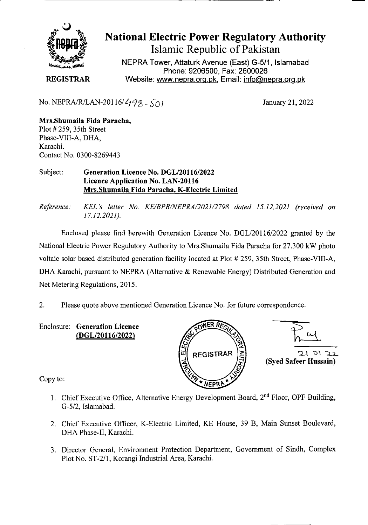

# National Electric Power Regulatory Authority Islamic Republic of Pakistan

**NEPRA Tower, Attaturk Avenue (East) G-5/1, Islamabad Phone: 9206500, Fax: 2600026 REGISTRAR** Website: www.nepra.org.pk, Email: info@nepra.org.pk

No. NEPRA/R/LAN-20116/ $\frac{498}{501}$  January 21, 2022

**Mrs.Shumaila Fida Paracha,**  Plot # 259, 35th Street Phase-VIII-A, DHA, Karachi. Contact No. 0300-8269443

#### Subject: **Generation Licence No. DGL/20116/2022 Licence Application No. LAN-20116 Mrs.Shumaila Fida Paracha, K-Electric Limited**

*Reference. KEL 's letter No. KE/BPR/NEPRA/2021/2 798 dated 15.12.2021 (received on 17.12.2021).* 

Enclosed please find herewith Generation Licence No. DGL/201 16/2022 granted by the National Electric Power Regulatory Authority to Mrs.Shumaila Fida Paracha for 27.300 kW photo voltaic solar based distributed generation facility located at Plot # 259, 35th Street, Phase-VIII-A, DHA Karachi, pursuant to NEPRA (Alternative & Renewable Energy) Distributed Generation and Net Metering Regulations, 2015.

2. Please quote above mentioned Generation Licence No. for future correspondence.

**Enclosure: Generation Licence (DGL/20116/2022)** 





Copy to:

- 1. Chief Executive Office, Alternative Energy Development Board, 2<sup>nd</sup> Floor, OPF Building, G-5/2, Islamabad.
- 2. Chief Executive Officer, K-Electric Limited, KE House, 39 B, Main Sunset Boulevard, DHA Phase-IT, Karachi.
- 3. Director General, Environment Protection Department, Government of Sindh, Complex Plot No. ST-2/1, Korangi Industrial Area, Karachi.